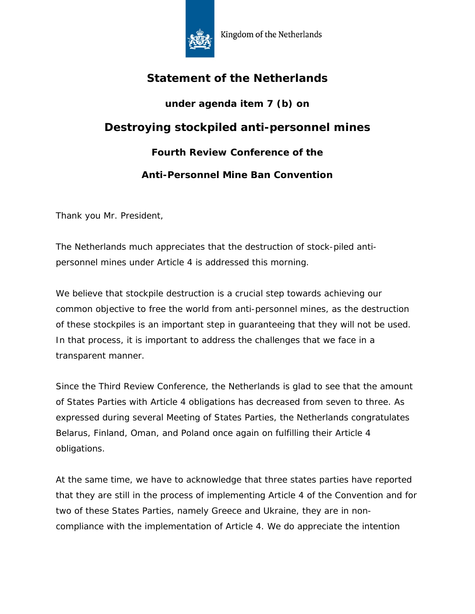

## **Statement of the Netherlands**

# **under agenda item 7 (b) on**

## **Destroying stockpiled anti-personnel mines**

### **Fourth Review Conference of the**

### **Anti-Personnel Mine Ban Convention**

Thank you Mr. President,

The Netherlands much appreciates that the destruction of stock-piled antipersonnel mines under Article 4 is addressed this morning.

We believe that stockpile destruction is a crucial step towards achieving our common objective to free the world from anti-personnel mines, as the destruction of these stockpiles is an important step in guaranteeing that they will not be used. In that process, it is important to address the challenges that we face in a transparent manner.

Since the Third Review Conference, the Netherlands is glad to see that the amount of States Parties with Article 4 obligations has decreased from seven to three. As expressed during several Meeting of States Parties, the Netherlands congratulates Belarus, Finland, Oman, and Poland once again on fulfilling their Article 4 obligations.

At the same time, we have to acknowledge that three states parties have reported that they are still in the process of implementing Article 4 of the Convention and for two of these States Parties, namely Greece and Ukraine, they are in noncompliance with the implementation of Article 4. We do appreciate the intention